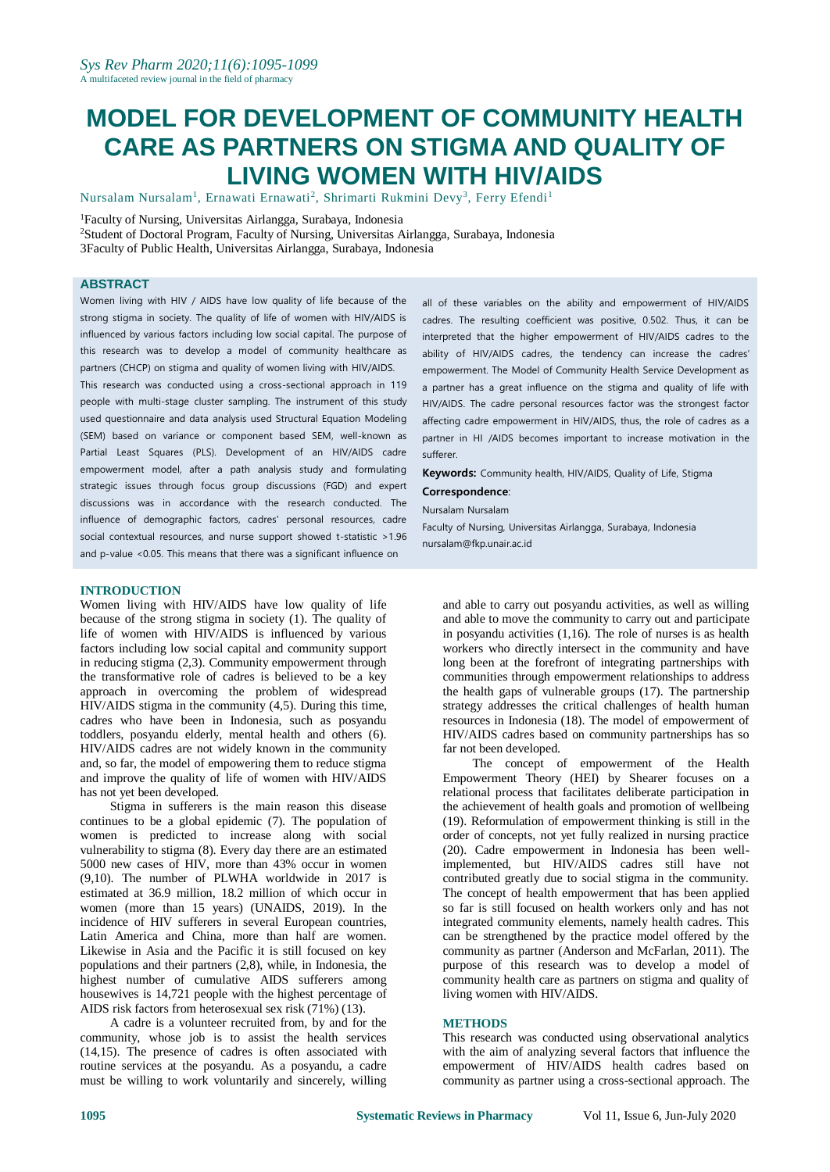# **MODEL FOR DEVELOPMENT OF COMMUNITY HEALTH CARE AS PARTNERS ON STIGMA AND QUALITY OF LIVING WOMEN WITH HIV/AIDS**

Nursalam Nursalam<sup>1</sup>, Ernawati Ernawati<sup>2</sup>, Shrimarti Rukmini Devy<sup>3</sup>, Ferry Efendi<sup>1</sup>

<sup>1</sup>Faculty of Nursing, Universitas Airlangga, Surabaya, Indonesia <sup>2</sup>Student of Doctoral Program, Faculty of Nursing, Universitas Airlangga, Surabaya, Indonesia 3Faculty of Public Health, Universitas Airlangga, Surabaya, Indonesia

#### **ABSTRACT**

Women living with HIV / AIDS have low quality of life because of the strong stigma in society. The quality of life of women with HIV/AIDS is influenced by various factors including low social capital. The purpose of this research was to develop a model of community healthcare as partners (CHCP) on stigma and quality of women living with HIV/AIDS.

This research was conducted using a cross-sectional approach in 119 people with multi-stage cluster sampling. The instrument of this study used questionnaire and data analysis used Structural Equation Modeling (SEM) based on variance or component based SEM, well-known as Partial Least Squares (PLS). Development of an HIV/AIDS cadre empowerment model, after a path analysis study and formulating strategic issues through focus group discussions (FGD) and expert discussions was in accordance with the research conducted. The influence of demographic factors, cadres' personal resources, cadre social contextual resources, and nurse support showed t-statistic >1.96 and p-value <0.05. This means that there was a significant influence on

**INTRODUCTION**

Women living with HIV/AIDS have low quality of life because of the strong stigma in society (1). The quality of life of women with HIV/AIDS is influenced by various factors including low social capital and community support in reducing stigma (2,3). Community empowerment through the transformative role of cadres is believed to be a key approach in overcoming the problem of widespread HIV/AIDS stigma in the community (4,5). During this time, cadres who have been in Indonesia, such as posyandu toddlers, posyandu elderly, mental health and others (6). HIV/AIDS cadres are not widely known in the community and, so far, the model of empowering them to reduce stigma and improve the quality of life of women with HIV/AIDS has not yet been developed.

Stigma in sufferers is the main reason this disease continues to be a global epidemic (7). The population of women is predicted to increase along with social vulnerability to stigma (8). Every day there are an estimated 5000 new cases of HIV, more than 43% occur in women (9,10). The number of PLWHA worldwide in 2017 is estimated at 36.9 million, 18.2 million of which occur in women (more than 15 years) (UNAIDS, 2019). In the incidence of HIV sufferers in several European countries, Latin America and China, more than half are women. Likewise in Asia and the Pacific it is still focused on key populations and their partners (2,8), while, in Indonesia, the highest number of cumulative AIDS sufferers among housewives is 14,721 people with the highest percentage of AIDS risk factors from heterosexual sex risk (71%) (13).

A cadre is a volunteer recruited from, by and for the community, whose job is to assist the health services (14,15). The presence of cadres is often associated with routine services at the posyandu. As a posyandu, a cadre must be willing to work voluntarily and sincerely, willing all of these variables on the ability and empowerment of HIV/AIDS cadres. The resulting coefficient was positive, 0.502. Thus, it can be interpreted that the higher empowerment of HIV/AIDS cadres to the ability of HIV/AIDS cadres, the tendency can increase the cadres' empowerment. The Model of Community Health Service Development as a partner has a great influence on the stigma and quality of life with HIV/AIDS. The cadre personal resources factor was the strongest factor affecting cadre empowerment in HIV/AIDS, thus, the role of cadres as a partner in HI /AIDS becomes important to increase motivation in the sufferer.

**Keywords:** Community health, HIV/AIDS, Quality of Life, Stigma

**Correspondence**:

Nursalam Nursalam

Faculty of Nursing, Universitas Airlangga, Surabaya, Indonesia nursalam@fkp.unair.ac.id

and able to carry out posyandu activities, as well as willing and able to move the community to carry out and participate in posyandu activities (1,16). The role of nurses is as health workers who directly intersect in the community and have long been at the forefront of integrating partnerships with communities through empowerment relationships to address the health gaps of vulnerable groups (17). The partnership strategy addresses the critical challenges of health human resources in Indonesia (18). The model of empowerment of HIV/AIDS cadres based on community partnerships has so far not been developed.

The concept of empowerment of the Health Empowerment Theory (HEI) by Shearer focuses on a relational process that facilitates deliberate participation in the achievement of health goals and promotion of wellbeing (19). Reformulation of empowerment thinking is still in the order of concepts, not yet fully realized in nursing practice (20). Cadre empowerment in Indonesia has been wellimplemented, but HIV/AIDS cadres still have not contributed greatly due to social stigma in the community. The concept of health empowerment that has been applied so far is still focused on health workers only and has not integrated community elements, namely health cadres. This can be strengthened by the practice model offered by the community as partner (Anderson and McFarlan, 2011). The purpose of this research was to develop a model of community health care as partners on stigma and quality of living women with HIV/AIDS.

#### **METHODS**

This research was conducted using observational analytics with the aim of analyzing several factors that influence the empowerment of HIV/AIDS health cadres based on community as partner using a cross-sectional approach. The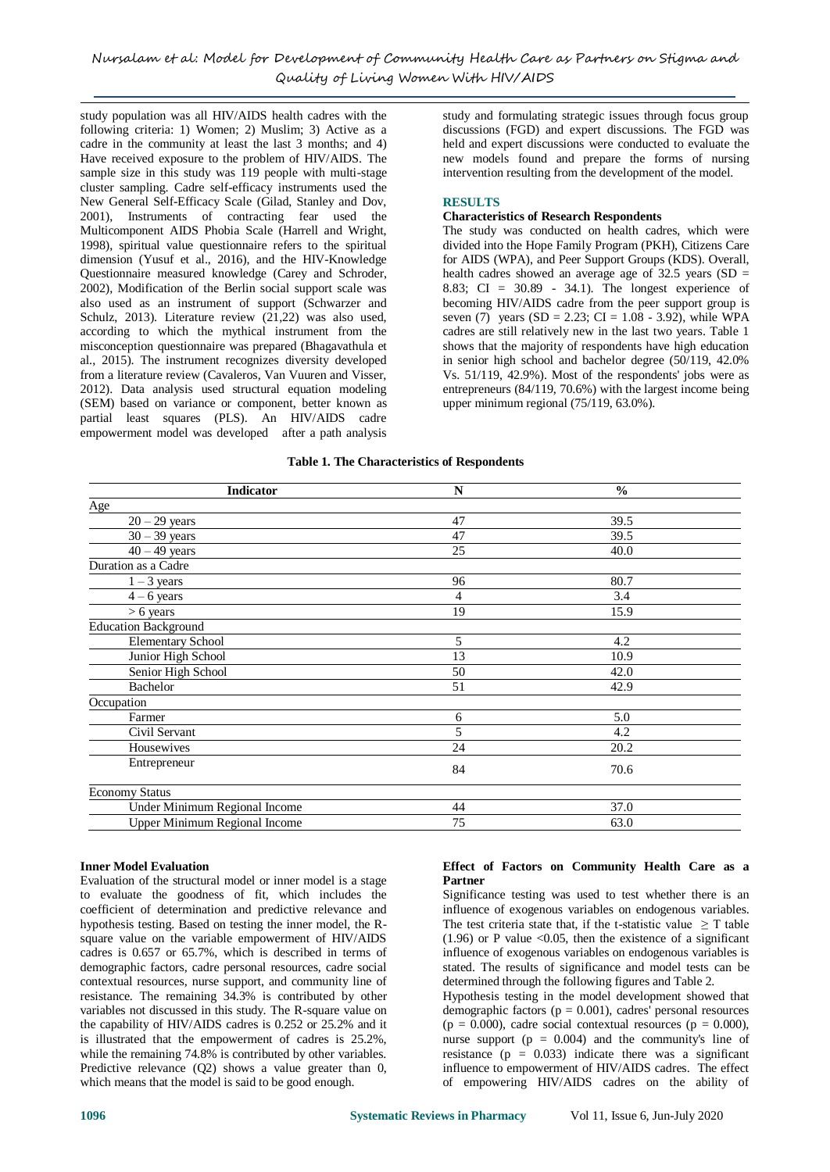study population was all HIV/AIDS health cadres with the following criteria: 1) Women; 2) Muslim; 3) Active as a cadre in the community at least the last 3 months; and 4) Have received exposure to the problem of HIV/AIDS. The sample size in this study was 119 people with multi-stage cluster sampling. Cadre self-efficacy instruments used the New General Self-Efficacy Scale (Gilad, Stanley and Dov, 2001), Instruments of contracting fear used the Multicomponent AIDS Phobia Scale (Harrell and Wright, 1998), spiritual value questionnaire refers to the spiritual dimension (Yusuf et al., 2016), and the HIV-Knowledge Questionnaire measured knowledge (Carey and Schroder, 2002), Modification of the Berlin social support scale was also used as an instrument of support (Schwarzer and Schulz, 2013). Literature review (21,22) was also used, according to which the mythical instrument from the misconception questionnaire was prepared (Bhagavathula et al., 2015). The instrument recognizes diversity developed from a literature review (Cavaleros, Van Vuuren and Visser, 2012). Data analysis used structural equation modeling (SEM) based on variance or component, better known as partial least squares (PLS). An HIV/AIDS cadre empowerment model was developed after a path analysis

study and formulating strategic issues through focus group discussions (FGD) and expert discussions. The FGD was held and expert discussions were conducted to evaluate the new models found and prepare the forms of nursing intervention resulting from the development of the model.

## **RESULTS**

#### **Characteristics of Research Respondents**

The study was conducted on health cadres, which were divided into the Hope Family Program (PKH), Citizens Care for AIDS (WPA), and Peer Support Groups (KDS). Overall, health cadres showed an average age of  $32.5$  years (SD = 8.83; CI = 30.89 - 34.1). The longest experience of becoming HIV/AIDS cadre from the peer support group is seven (7) years (SD = 2.23; CI =  $1.08 - 3.92$ ), while WPA cadres are still relatively new in the last two years. Table 1 shows that the majority of respondents have high education in senior high school and bachelor degree (50/119, 42.0% Vs. 51/119, 42.9%). Most of the respondents' jobs were as entrepreneurs (84/119, 70.6%) with the largest income being upper minimum regional (75/119, 63.0%).

## **Table 1. The Characteristics of Respondents**

| <b>Indicator</b>                     | N  | $\frac{0}{0}$ |
|--------------------------------------|----|---------------|
| Age                                  |    |               |
| $20 - 29$ years                      | 47 | 39.5          |
| $30 - 39$ years                      | 47 | 39.5          |
| $40 - 49$ years                      | 25 | 40.0          |
| Duration as a Cadre                  |    |               |
| $1 - 3$ years                        | 96 | 80.7          |
| $4-6$ years                          | 4  | 3.4           |
| $> 6$ years                          | 19 | 15.9          |
| <b>Education Background</b>          |    |               |
| Elementary School                    | 5  | 4.2           |
| Junior High School                   | 13 | 10.9          |
| Senior High School                   | 50 | 42.0          |
| Bachelor                             | 51 | 42.9          |
| Occupation                           |    |               |
| Farmer                               | 6  | 5.0           |
| Civil Servant                        | 5  | 4.2           |
| Housewives                           | 24 | 20.2          |
| Entrepreneur                         | 84 | 70.6          |
| <b>Economy Status</b>                |    |               |
| Under Minimum Regional Income        | 44 | 37.0          |
| <b>Upper Minimum Regional Income</b> | 75 | 63.0          |

#### **Inner Model Evaluation**

Evaluation of the structural model or inner model is a stage to evaluate the goodness of fit, which includes the coefficient of determination and predictive relevance and hypothesis testing. Based on testing the inner model, the Rsquare value on the variable empowerment of HIV/AIDS cadres is 0.657 or 65.7%, which is described in terms of demographic factors, cadre personal resources, cadre social contextual resources, nurse support, and community line of resistance. The remaining 34.3% is contributed by other variables not discussed in this study. The R-square value on the capability of HIV/AIDS cadres is 0.252 or 25.2% and it is illustrated that the empowerment of cadres is 25.2%, while the remaining 74.8% is contributed by other variables. Predictive relevance (Q2) shows a value greater than 0, which means that the model is said to be good enough.

# **Effect of Factors on Community Health Care as a Partner**

Significance testing was used to test whether there is an influence of exogenous variables on endogenous variables. The test criteria state that, if the t-statistic value  $\geq$  T table (1.96) or P value  $\leq 0.05$ , then the existence of a significant influence of exogenous variables on endogenous variables is stated. The results of significance and model tests can be determined through the following figures and Table 2.

Hypothesis testing in the model development showed that demographic factors ( $p = 0.001$ ), cadres' personal resources  $(p = 0.000)$ , cadre social contextual resources  $(p = 0.000)$ , nurse support ( $p = 0.004$ ) and the community's line of resistance ( $p = 0.033$ ) indicate there was a significant influence to empowerment of HIV/AIDS cadres. The effect of empowering HIV/AIDS cadres on the ability of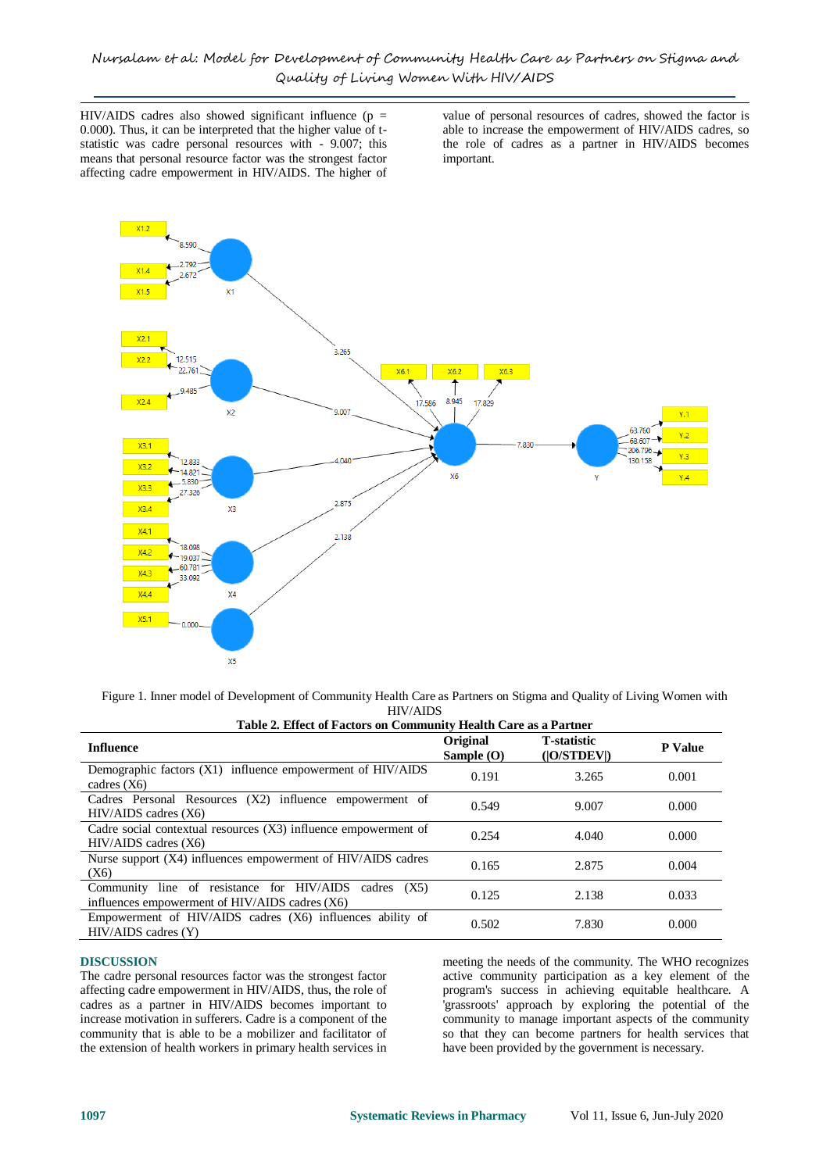HIV/AIDS cadres also showed significant influence ( $p =$ 0.000). Thus, it can be interpreted that the higher value of tstatistic was cadre personal resources with - 9.007; this means that personal resource factor was the strongest factor affecting cadre empowerment in HIV/AIDS. The higher of value of personal resources of cadres, showed the factor is able to increase the empowerment of HIV/AIDS cadres, so the role of cadres as a partner in HIV/AIDS becomes important.



Figure 1. Inner model of Development of Community Health Care as Partners on Stigma and Quality of Living Women with HIV/AIDS

| Table 2. Effect of Factors on Community Health Care as a Partner                                        |                          |                                    |                |  |  |
|---------------------------------------------------------------------------------------------------------|--------------------------|------------------------------------|----------------|--|--|
| <b>Influence</b>                                                                                        | Original<br>Sample $(O)$ | <b>T</b> -statistic<br>( O/STDEV ) | <b>P</b> Value |  |  |
| Demographic factors $(X1)$ influence empowerment of $HIV/ALDS$<br>cadres $(X6)$                         | 0.191                    | 3.265                              | 0.001          |  |  |
| Cadres Personal Resources (X2) influence empowerment of<br>$HIV/AIDS$ cadres $(X6)$                     | 0.549                    | 9.007                              | 0.000          |  |  |
| Cadre social contextual resources (X3) influence empowerment of<br>$HIV/AIDS$ cadres $(X6)$             | 0.254                    | 4.040                              | 0.000          |  |  |
| Nurse support (X4) influences empowerment of HIV/AIDS cadres<br>(X6)                                    | 0.165                    | 2.875                              | 0.004          |  |  |
| Community line of resistance for HIV/AIDS cadres (X5)<br>influences empowerment of HIV/AIDS cadres (X6) | 0.125                    | 2.138                              | 0.033          |  |  |
| Empowerment of HIV/AIDS cadres (X6) influences ability of<br>$HIV/AIDS$ cadres $(Y)$                    | 0.502                    | 7.830                              | 0.000          |  |  |

#### **DISCUSSION**

The cadre personal resources factor was the strongest factor affecting cadre empowerment in HIV/AIDS, thus, the role of cadres as a partner in HIV/AIDS becomes important to increase motivation in sufferers. Cadre is a component of the community that is able to be a mobilizer and facilitator of the extension of health workers in primary health services in

meeting the needs of the community. The WHO recognizes active community participation as a key element of the program's success in achieving equitable healthcare. A 'grassroots' approach by exploring the potential of the community to manage important aspects of the community so that they can become partners for health services that have been provided by the government is necessary.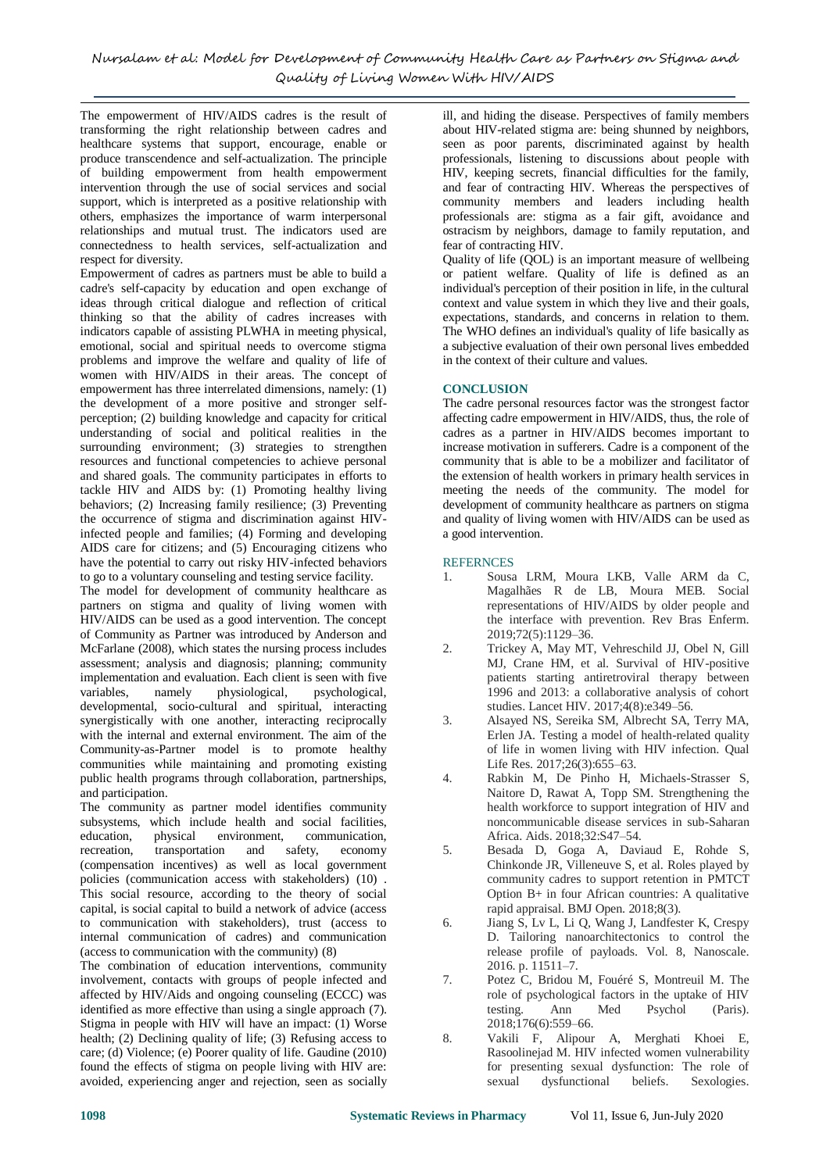The empowerment of HIV/AIDS cadres is the result of transforming the right relationship between cadres and healthcare systems that support, encourage, enable or produce transcendence and self-actualization. The principle of building empowerment from health empowerment intervention through the use of social services and social support, which is interpreted as a positive relationship with others, emphasizes the importance of warm interpersonal relationships and mutual trust. The indicators used are connectedness to health services, self-actualization and respect for diversity.

Empowerment of cadres as partners must be able to build a cadre's self-capacity by education and open exchange of ideas through critical dialogue and reflection of critical thinking so that the ability of cadres increases with indicators capable of assisting PLWHA in meeting physical, emotional, social and spiritual needs to overcome stigma problems and improve the welfare and quality of life of women with HIV/AIDS in their areas. The concept of empowerment has three interrelated dimensions, namely: (1) the development of a more positive and stronger selfperception; (2) building knowledge and capacity for critical understanding of social and political realities in the surrounding environment; (3) strategies to strengthen resources and functional competencies to achieve personal and shared goals. The community participates in efforts to tackle HIV and AIDS by: (1) Promoting healthy living behaviors; (2) Increasing family resilience; (3) Preventing the occurrence of stigma and discrimination against HIVinfected people and families; (4) Forming and developing AIDS care for citizens; and (5) Encouraging citizens who have the potential to carry out risky HIV-infected behaviors to go to a voluntary counseling and testing service facility.

The model for development of community healthcare as partners on stigma and quality of living women with HIV/AIDS can be used as a good intervention. The concept of Community as Partner was introduced by Anderson and McFarlane (2008), which states the nursing process includes assessment; analysis and diagnosis; planning; community implementation and evaluation. Each client is seen with five variables, namely physiological, psychological, developmental, socio-cultural and spiritual, interacting synergistically with one another, interacting reciprocally with the internal and external environment. The aim of the Community-as-Partner model is to promote healthy communities while maintaining and promoting existing public health programs through collaboration, partnerships, and participation.

The community as partner model identifies community subsystems, which include health and social facilities, education, physical environment, communication, recreation, transportation and safety, economy (compensation incentives) as well as local government policies (communication access with stakeholders) (10) . This social resource, according to the theory of social capital, is social capital to build a network of advice (access to communication with stakeholders), trust (access to internal communication of cadres) and communication (access to communication with the community) (8)

The combination of education interventions, community involvement, contacts with groups of people infected and affected by HIV/Aids and ongoing counseling (ECCC) was identified as more effective than using a single approach (7). Stigma in people with HIV will have an impact: (1) Worse health; (2) Declining quality of life; (3) Refusing access to care; (d) Violence; (e) Poorer quality of life. Gaudine (2010) found the effects of stigma on people living with HIV are: avoided, experiencing anger and rejection, seen as socially ill, and hiding the disease. Perspectives of family members about HIV-related stigma are: being shunned by neighbors, seen as poor parents, discriminated against by health professionals, listening to discussions about people with HIV, keeping secrets, financial difficulties for the family, and fear of contracting HIV. Whereas the perspectives of community members and leaders including health professionals are: stigma as a fair gift, avoidance and ostracism by neighbors, damage to family reputation, and fear of contracting HIV.

Quality of life (QOL) is an important measure of wellbeing or patient welfare. Quality of life is defined as an individual's perception of their position in life, in the cultural context and value system in which they live and their goals, expectations, standards, and concerns in relation to them. The WHO defines an individual's quality of life basically as a subjective evaluation of their own personal lives embedded in the context of their culture and values.

# **CONCLUSION**

The cadre personal resources factor was the strongest factor affecting cadre empowerment in HIV/AIDS, thus, the role of cadres as a partner in HIV/AIDS becomes important to increase motivation in sufferers. Cadre is a component of the community that is able to be a mobilizer and facilitator of the extension of health workers in primary health services in meeting the needs of the community. The model for development of community healthcare as partners on stigma and quality of living women with HIV/AIDS can be used as a good intervention.

#### **REFERNCES**

- 1. Sousa LRM, Moura LKB, Valle ARM da C, Magalhães R de LB, Moura MEB. Social representations of HIV/AIDS by older people and the interface with prevention. Rev Bras Enferm. 2019;72(5):1129–36.
- 2. Trickey A, May MT, Vehreschild JJ, Obel N, Gill MJ, Crane HM, et al. Survival of HIV-positive patients starting antiretroviral therapy between 1996 and 2013: a collaborative analysis of cohort studies. Lancet HIV. 2017;4(8):e349–56.
- 3. Alsayed NS, Sereika SM, Albrecht SA, Terry MA, Erlen JA. Testing a model of health-related quality of life in women living with HIV infection. Qual Life Res. 2017;26(3):655–63.
- 4. Rabkin M, De Pinho H, Michaels-Strasser S, Naitore D, Rawat A, Topp SM. Strengthening the health workforce to support integration of HIV and noncommunicable disease services in sub-Saharan Africa. Aids. 2018;32:S47–54.
- 5. Besada D, Goga A, Daviaud E, Rohde S, Chinkonde JR, Villeneuve S, et al. Roles played by community cadres to support retention in PMTCT Option B+ in four African countries: A qualitative rapid appraisal. BMJ Open. 2018;8(3).
- 6. Jiang S, Lv L, Li Q, Wang J, Landfester K, Crespy D. Tailoring nanoarchitectonics to control the release profile of payloads. Vol. 8, Nanoscale. 2016. p. 11511–7.
- 7. Potez C, Bridou M, Fouéré S, Montreuil M. The role of psychological factors in the uptake of HIV testing. Ann Med Psychol (Paris). 2018;176(6):559–66.
- 8. Vakili F, Alipour A, Merghati Khoei E, Rasoolinejad M. HIV infected women vulnerability for presenting sexual dysfunction: The role of sexual dysfunctional beliefs. Sexologies.